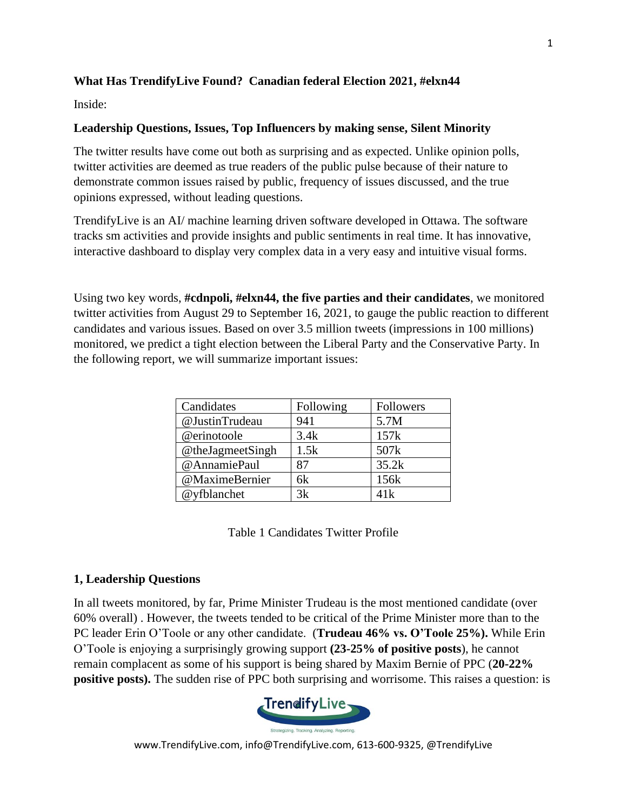# **What Has TrendifyLive Found? Canadian federal Election 2021, #elxn44**

Inside:

# **Leadership Questions, Issues, Top Influencers by making sense, Silent Minority**

The twitter results have come out both as surprising and as expected. Unlike opinion polls, twitter activities are deemed as true readers of the public pulse because of their nature to demonstrate common issues raised by public, frequency of issues discussed, and the true opinions expressed, without leading questions.

TrendifyLive is an AI/ machine learning driven software developed in Ottawa. The software tracks sm activities and provide insights and public sentiments in real time. It has innovative, interactive dashboard to display very complex data in a very easy and intuitive visual forms.

Using two key words, **#cdnpoli, #elxn44, the five parties and their candidates**, we monitored twitter activities from August 29 to September 16, 2021, to gauge the public reaction to different candidates and various issues. Based on over 3.5 million tweets (impressions in 100 millions) monitored, we predict a tight election between the Liberal Party and the Conservative Party. In the following report, we will summarize important issues:

| Candidates       | Following | Followers        |
|------------------|-----------|------------------|
| @JustinTrudeau   | 941       | 5.7M             |
| @erinotoole      | 3.4k      | 157k             |
| @theJagmeetSingh | 1.5k      | 507 <sub>k</sub> |
| @AnnamiePaul     | 87        | 35.2k            |
| @MaximeBernier   | 6k        | 156k             |
| @yfblanchet      | 3k        | 41k              |

Table 1 Candidates Twitter Profile

# **1, Leadership Questions**

In all tweets monitored, by far, Prime Minister Trudeau is the most mentioned candidate (over 60% overall) . However, the tweets tended to be critical of the Prime Minister more than to the PC leader Erin O'Toole or any other candidate. (**Trudeau 46% vs. O'Toole 25%).** While Erin O'Toole is enjoying a surprisingly growing support **(23-25% of positive posts**), he cannot remain complacent as some of his support is being shared by Maxim Bernie of PPC (**20-22% positive posts).** The sudden rise of PPC both surprising and worrisome. This raises a question: is

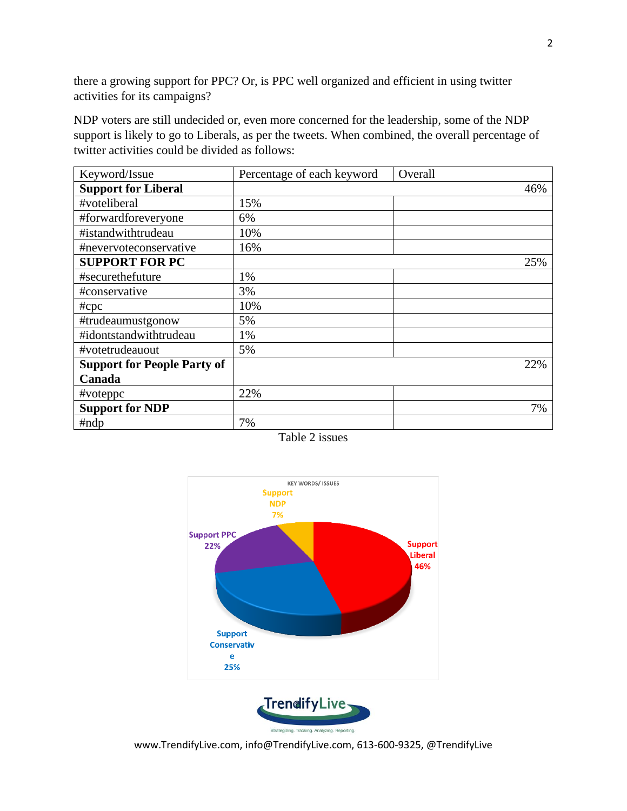there a growing support for PPC? Or, is PPC well organized and efficient in using twitter activities for its campaigns?

NDP voters are still undecided or, even more concerned for the leadership, some of the NDP support is likely to go to Liberals, as per the tweets. When combined, the overall percentage of twitter activities could be divided as follows:

| Keyword/Issue                      | Percentage of each keyword | Overall |
|------------------------------------|----------------------------|---------|
| <b>Support for Liberal</b>         |                            | 46%     |
| #voteliberal                       | 15%                        |         |
| #forwardforeveryone                | 6%                         |         |
| #istandwithtrudeau                 | 10%                        |         |
| #nevervoteconservative             | 16%                        |         |
| <b>SUPPORT FOR PC</b>              |                            | 25%     |
| #securethefuture                   | 1%                         |         |
| #conservative                      | 3%                         |         |
| $\#$ cpc                           | 10%                        |         |
| #trudeaumustgonow                  | 5%                         |         |
| #idontstandwithtrudeau             | 1%                         |         |
| #votetrudeauout                    | 5%                         |         |
| <b>Support for People Party of</b> |                            | 22%     |
| Canada                             |                            |         |
| #voteppc                           | 22%                        |         |
| <b>Support for NDP</b>             |                            | 7%      |
| #ndp                               | 7%                         |         |

Table 2 issues



www.TrendifyLive.com, info@TrendifyLive.com, 613-600-9325, @TrendifyLive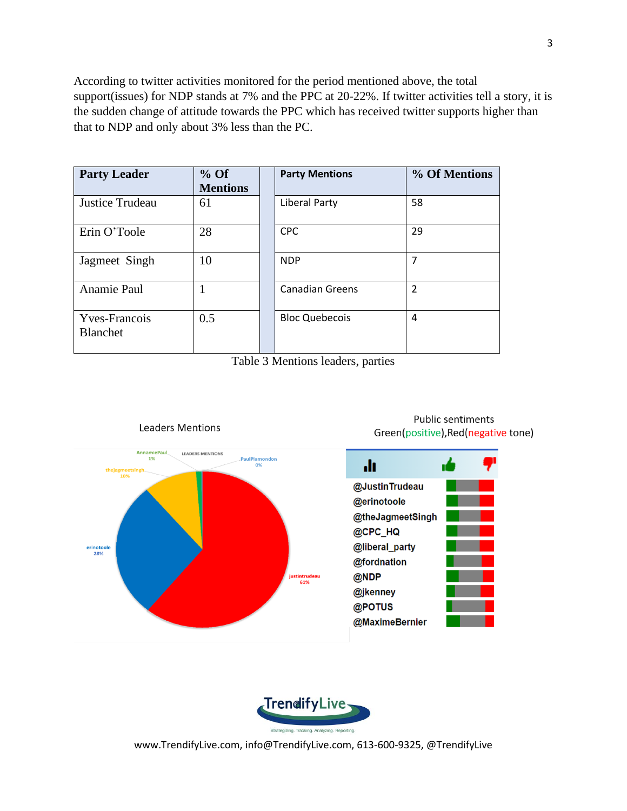According to twitter activities monitored for the period mentioned above, the total support(issues) for NDP stands at 7% and the PPC at 20-22%. If twitter activities tell a story, it is the sudden change of attitude towards the PPC which has received twitter supports higher than that to NDP and only about 3% less than the PC.

| <b>Party Leader</b>                     | $%$ Of<br><b>Mentions</b> | <b>Party Mentions</b>  | % Of Mentions  |
|-----------------------------------------|---------------------------|------------------------|----------------|
| Justice Trudeau                         | 61                        | <b>Liberal Party</b>   | 58             |
| Erin O'Toole                            | 28                        | <b>CPC</b>             | 29             |
| Jagmeet Singh                           | 10                        | <b>NDP</b>             | 7              |
| Anamie Paul                             |                           | <b>Canadian Greens</b> | $\overline{2}$ |
| <b>Yves-Francois</b><br><b>Blanchet</b> | 0.5                       | <b>Bloc Quebecois</b>  | 4              |

Table 3 Mentions leaders, parties



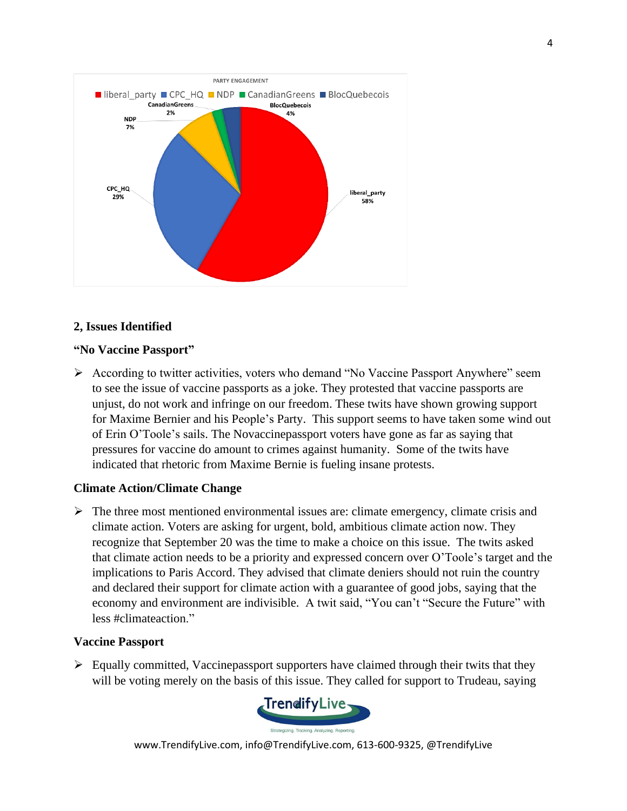

# **2, Issues Identified**

### **"No Vaccine Passport"**

➢ According to twitter activities, voters who demand "No Vaccine Passport Anywhere" seem to see the issue of vaccine passports as a joke. They protested that vaccine passports are unjust, do not work and infringe on our freedom. These twits have shown growing support for Maxime Bernier and his People's Party. This support seems to have taken some wind out of Erin O'Toole's sails. The Novaccinepassport voters have gone as far as saying that pressures for vaccine do amount to crimes against humanity. Some of the twits have indicated that rhetoric from Maxime Bernie is fueling insane protests.

## **Climate Action/Climate Change**

 $\triangleright$  The three most mentioned environmental issues are: climate emergency, climate crisis and climate action. Voters are asking for urgent, bold, ambitious climate action now. They recognize that September 20 was the time to make a choice on this issue. The twits asked that climate action needs to be a priority and expressed concern over O'Toole's target and the implications to Paris Accord. They advised that climate deniers should not ruin the country and declared their support for climate action with a guarantee of good jobs, saying that the economy and environment are indivisible. A twit said, "You can't "Secure the Future" with less #climateaction."

### **Vaccine Passport**

 $\triangleright$  Equally committed, Vaccinepassport supporters have claimed through their twits that they will be voting merely on the basis of this issue. They called for support to Trudeau, saying

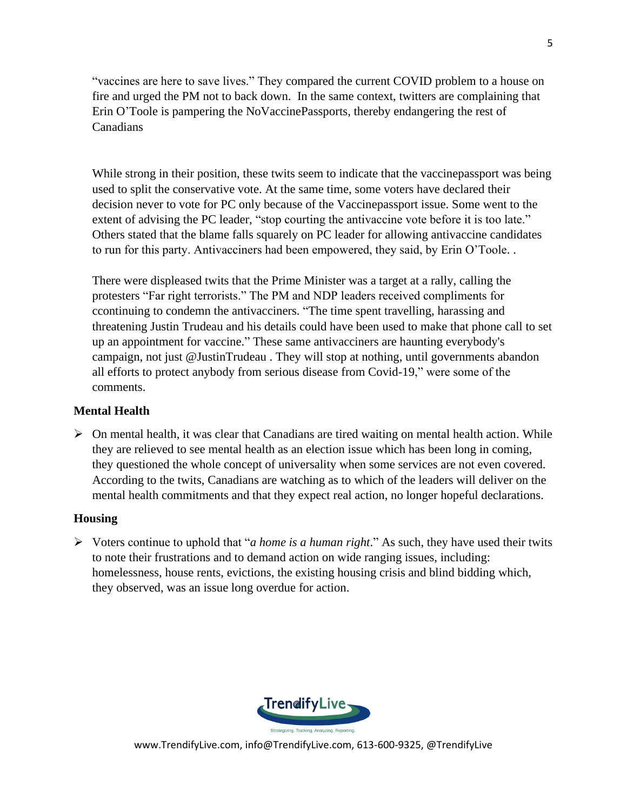"vaccines are here to save lives." They compared the current COVID problem to a house on fire and urged the PM not to back down. In the same context, twitters are complaining that Erin O'Toole is pampering the NoVaccinePassports, thereby endangering the rest of Canadians

While strong in their position, these twits seem to indicate that the vaccine passport was being used to split the conservative vote. At the same time, some voters have declared their decision never to vote for PC only because of the Vaccinepassport issue. Some went to the extent of advising the PC leader, "stop courting the antivaccine vote before it is too late." Others stated that the blame falls squarely on PC leader for allowing antivaccine candidates to run for this party. Antivacciners had been empowered, they said, by Erin O'Toole. .

There were displeased twits that the Prime Minister was a target at a rally, calling the protesters "Far right terrorists." The PM and NDP leaders received compliments for ccontinuing to condemn the antivacciners. "The time spent travelling, harassing and threatening Justin Trudeau and his details could have been used to make that phone call to set up an appointment for vaccine." These same antivacciners are haunting everybody's campaign, not just @JustinTrudeau . They will stop at nothing, until governments abandon all efforts to protect anybody from serious disease from Covid-19," were some of the comments.

## **Mental Health**

 $\triangleright$  On mental health, it was clear that Canadians are tired waiting on mental health action. While they are relieved to see mental health as an election issue which has been long in coming, they questioned the whole concept of universality when some services are not even covered. According to the twits, Canadians are watching as to which of the leaders will deliver on the mental health commitments and that they expect real action, no longer hopeful declarations.

## **Housing**

➢ Voters continue to uphold that "*a home is a human right*." As such, they have used their twits to note their frustrations and to demand action on wide ranging issues, including: homelessness, house rents, evictions, the existing housing crisis and blind bidding which, they observed, was an issue long overdue for action.

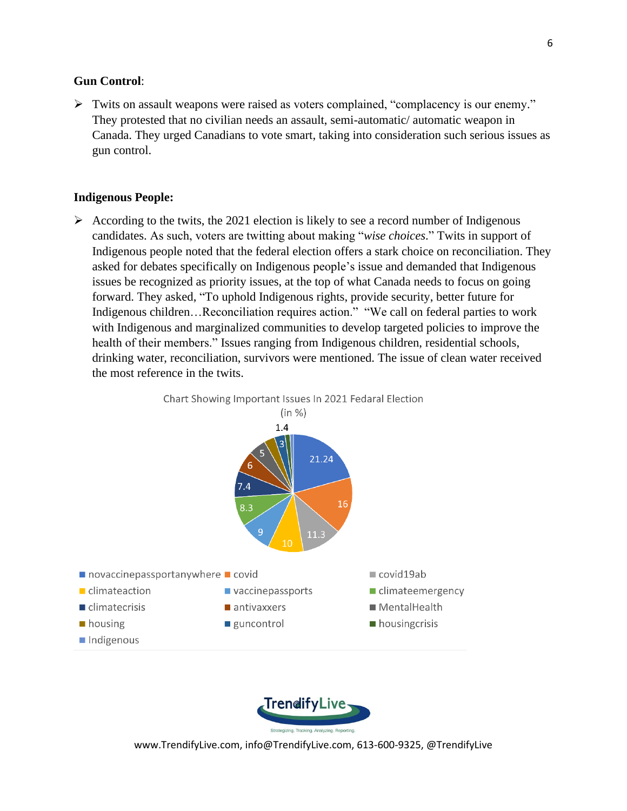### **Gun Control**:

➢ Twits on assault weapons were raised as voters complained, "complacency is our enemy." They protested that no civilian needs an assault, semi-automatic/ automatic weapon in Canada. They urged Canadians to vote smart, taking into consideration such serious issues as gun control.

#### **Indigenous People:**

➢ According to the twits, the 2021 election is likely to see a record number of Indigenous candidates. As such, voters are twitting about making "*wise choices*." Twits in support of Indigenous people noted that the federal election offers a stark choice on reconciliation. They asked for debates specifically on Indigenous people's issue and demanded that Indigenous issues be recognized as priority issues, at the top of what Canada needs to focus on going forward. They asked, "To uphold Indigenous rights, provide security, better future for Indigenous children…Reconciliation requires action." "We call on federal parties to work with Indigenous and marginalized communities to develop targeted policies to improve the health of their members." Issues ranging from Indigenous children, residential schools, drinking water, reconciliation, survivors were mentioned. The issue of clean water received the most reference in the twits.



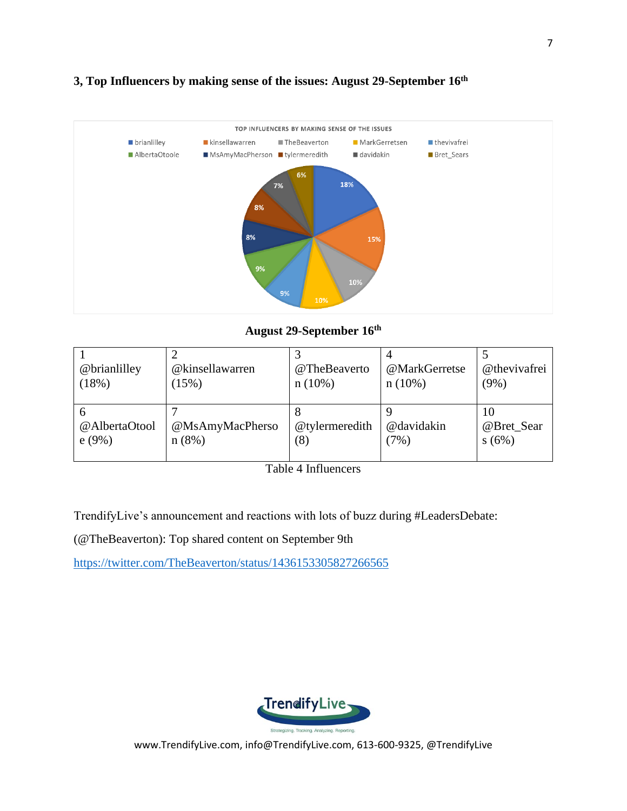

# **3, Top Influencers by making sense of the issues: August 29-September 16th**

**August 29-September 16th**

| @brianlilley           | @kinsellawarren          | @TheBeaverto          | @MarkGerretse      | @thevivafrei              |
|------------------------|--------------------------|-----------------------|--------------------|---------------------------|
| (18%)                  | (15%)                    | n(10%)                | n(10%)             | $(9\%)$                   |
| @AlbertaOtool<br>e(9%) | @MsAmyMacPherso<br>n(8%) | @tylermeredith<br>(8) | @davidakin<br>(7%) | 10<br>@Bret_Sear<br>s(6%) |

Table 4 Influencers

TrendifyLive's announcement and reactions with lots of buzz during #LeadersDebate:

(@TheBeaverton): Top shared content on September 9th

<https://twitter.com/TheBeaverton/status/1436153305827266565>

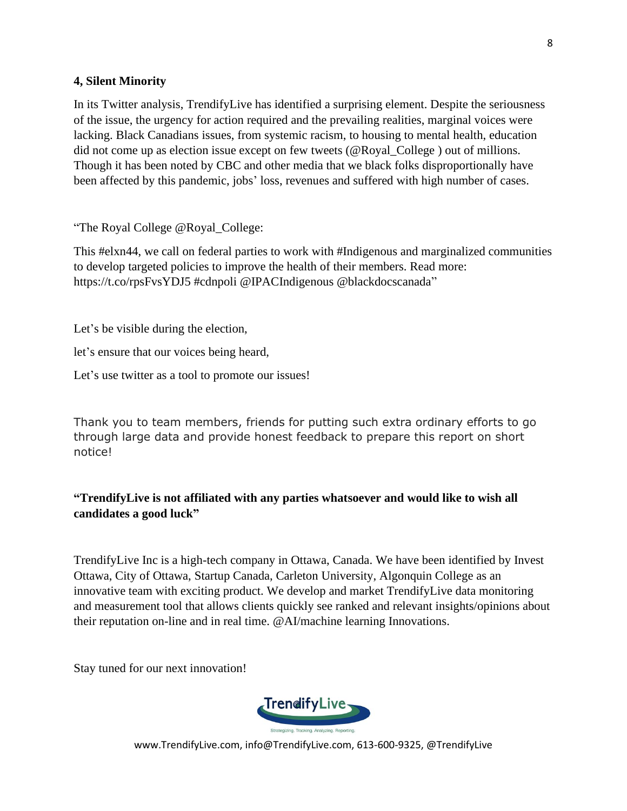## **4, Silent Minority**

In its Twitter analysis, TrendifyLive has identified a surprising element. Despite the seriousness of the issue, the urgency for action required and the prevailing realities, marginal voices were lacking. Black Canadians issues, from systemic racism, to housing to mental health, education did not come up as election issue except on few tweets (@Royal\_College ) out of millions. Though it has been noted by CBC and other media that we black folks disproportionally have been affected by this pandemic, jobs' loss, revenues and suffered with high number of cases.

"The Royal College @Royal\_College:

This #elxn44, we call on federal parties to work with #Indigenous and marginalized communities to develop targeted policies to improve the health of their members. Read more: https://t.co/rpsFvsYDJ5 #cdnpoli @IPACIndigenous @blackdocscanada"

Let's be visible during the election,

let's ensure that our voices being heard,

Let's use twitter as a tool to promote our issues!

Thank you to team members, friends for putting such extra ordinary efforts to go through large data and provide honest feedback to prepare this report on short notice!

# **"TrendifyLive is not affiliated with any parties whatsoever and would like to wish all candidates a good luck"**

TrendifyLive Inc is a high-tech company in Ottawa, Canada. We have been identified by Invest Ottawa, City of Ottawa, Startup Canada, Carleton University, Algonquin College as an innovative team with exciting product. We develop and market TrendifyLive data monitoring and measurement tool that allows clients quickly see ranked and relevant insights/opinions about their reputation on-line and in real time. @AI/machine learning Innovations.

Stay tuned for our next innovation!